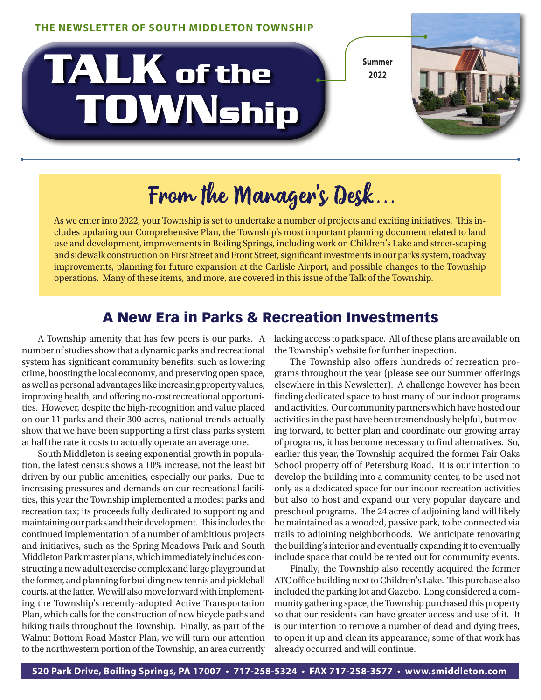# $\frac{1}{2022}$  **TOWNship**



## From the Manager's Desk...

As we enter into 2022, your Township is set to undertake a number of projects and exciting initiatives. This includes updating our Comprehensive Plan, the Township's most important planning document related to land use and development, improvements in Boiling Springs, including work on Children's Lake and street-scaping and sidewalk construction on First Street and Front Street, significant investments in our parks system, roadway improvements, planning for future expansion at the Carlisle Airport, and possible changes to the Township operations. Many of these items, and more, are covered in this issue of the Talk of the Township.

### A New Era in Parks & Recreation Investments

A Township amenity that has few peers is our parks. A number of studies show that a dynamic parks and recreational system has significant community benefits, such as lowering crime, boosting the local economy, and preserving open space, as well as personal advantages like increasing property values, improving health, and offering no-cost recreational opportunities. However, despite the high-recognition and value placed on our 11 parks and their 300 acres, national trends actually show that we have been supporting a first class parks system at half the rate it costs to actually operate an average one.

South Middleton is seeing exponential growth in population, the latest census shows a 10% increase, not the least bit driven by our public amenities, especially our parks. Due to increasing pressures and demands on our recreational facilities, this year the Township implemented a modest parks and recreation tax; its proceeds fully dedicated to supporting and maintaining our parks and their development. This includes the continued implementation of a number of ambitious projects and initiatives, such as the Spring Meadows Park and South Middleton Park master plans, which immediately includes constructing a new adult exercise complex and large playground at the former, and planning for building new tennis and pickleball courts, at the latter. We will also move forward with implementing the Township's recently-adopted Active Transportation Plan, which calls for the construction of new bicycle paths and hiking trails throughout the Township. Finally, as part of the Walnut Bottom Road Master Plan, we will turn our attention to the northwestern portion of the Township, an area currently

lacking access to park space. All of these plans are available on the Township's website for further inspection.

The Township also offers hundreds of recreation programs throughout the year (please see our Summer offerings elsewhere in this Newsletter). A challenge however has been finding dedicated space to host many of our indoor programs and activities. Our community partners which have hosted our activities in the past have been tremendously helpful, but moving forward, to better plan and coordinate our growing array of programs, it has become necessary to find alternatives. So, earlier this year, the Township acquired the former Fair Oaks School property off of Petersburg Road. It is our intention to develop the building into a community center, to be used not only as a dedicated space for our indoor recreation activities but also to host and expand our very popular daycare and preschool programs. The 24 acres of adjoining land will likely be maintained as a wooded, passive park, to be connected via trails to adjoining neighborhoods. We anticipate renovating the building's interior and eventually expanding it to eventually include space that could be rented out for community events.

Finally, the Township also recently acquired the former ATC office building next to Children's Lake. This purchase also included the parking lot and Gazebo. Long considered a community gathering space, the Township purchased this property so that our residents can have greater access and use of it. It is our intention to remove a number of dead and dying trees, to open it up and clean its appearance; some of that work has already occurred and will continue.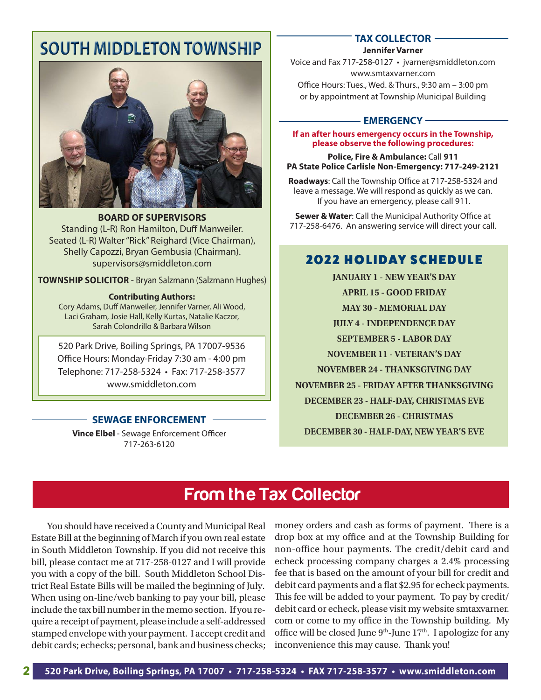### **SOUTH MIDDLETON TOWNSHIP**



**BOARD OF SUPERVISORS** Standing (L-R) Ron Hamilton, Duff Manweiler. Seated (L-R) Walter "Rick" Reighard (Vice Chairman), Shelly Capozzi, Bryan Gembusia (Chairman). supervisors@smiddleton.com

**TOWNSHIP SOLICITOR** - Bryan Salzmann (Salzmann Hughes)

#### **Contributing Authors:**

Cory Adams, Duff Manweiler, Jennifer Varner, Ali Wood, Laci Graham, Josie Hall, Kelly Kurtas, Natalie Kaczor, Sarah Colondrillo & Barbara Wilson

520 Park Drive, Boiling Springs, PA 17007-9536 Office Hours: Monday-Friday 7:30 am - 4:00 pm Telephone: 717-258-5324 • Fax: 717-258-3577 www.smiddleton.com

### **SEWAGE ENFORCEMENT**

**Vince Elbel** - Sewage Enforcement Officer 717-263-6120

### **TAX COLLECTOR**

**Jennifer Varner**

Voice and Fax 717-258-0127 • jvarner@smiddleton.com www.smtaxvarner.com Office Hours: Tues., Wed. & Thurs., 9:30 am – 3:00 pm or by appointment at Township Municipal Building

### **- EMERGENCY -**

**If an after hours emergency occurs in the Township, please observe the following procedures:**

**Police, Fire & Ambulance:** Call **911 PA State Police Carlisle Non-Emergency: 717-249-2121**

**Roadways**: Call the Township Office at 717-258-5324 and leave a message. We will respond as quickly as we can. If you have an emergency, please call 911.

**Sewer & Water**: Call the Municipal Authority Office at 717-258-6476. An answering service will direct your call.

### **2022 HOLIDAY SCHEDULE**

**JANUARY 1 - NEW YEAR'S DAY APRIL 15 - GOOD FRIDAY MAY 30 - MEMORIAL DAY JULY 4 - INDEPENDENCE DAY SEPTEMBER 5 - LABOR DAY NOVEMBER 11 - VETERAN'S DAY NOVEMBER 24 - THANKSGIVING DAY NOVEMBER 25 - FRIDAY AFTER THANKSGIVING DECEMBER 23 - HALF-DAY, CHRISTMAS EVE DECEMBER 26 - CHRISTMAS DECEMBER 30 - HALF-DAY, NEW YEAR'S EVE** 

### **From the Tax Collector**

You should have received a County and Municipal Real Estate Bill at the beginning of March if you own real estate in South Middleton Township. If you did not receive this bill, please contact me at 717-258-0127 and I will provide you with a copy of the bill. South Middleton School District Real Estate Bills will be mailed the beginning of July. When using on-line/web banking to pay your bill, please include the tax bill number in the memo section. If you require a receipt of payment, please include a self-addressed stamped envelope with your payment. I accept credit and debit cards; echecks; personal, bank and business checks;

money orders and cash as forms of payment. There is a drop box at my office and at the Township Building for non-office hour payments. The credit/debit card and echeck processing company charges a 2.4% processing fee that is based on the amount of your bill for credit and debit card payments and a flat \$2.95 for echeck payments. This fee will be added to your payment. To pay by credit/ debit card or echeck, please visit my website smtaxvarner. com or come to my office in the Township building. My office will be closed June  $9<sup>th</sup>$ -June  $17<sup>th</sup>$ . I apologize for any inconvenience this may cause. Thank you!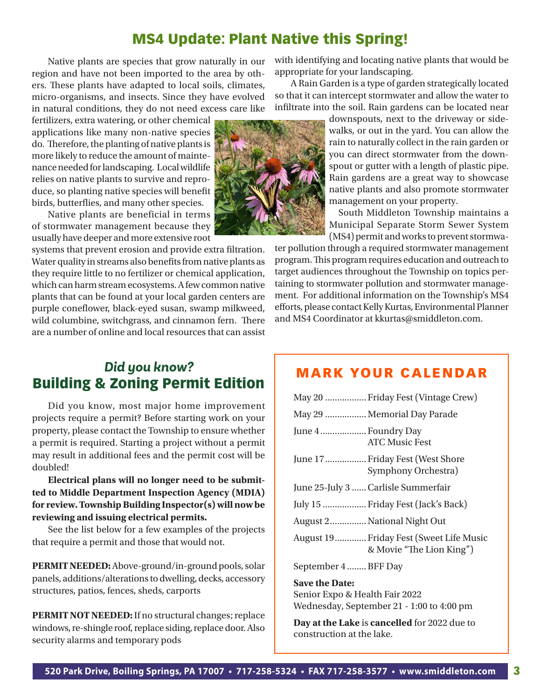#### **MS4 Update: Plant Native this Spring!** species will benefit birds, butterflies, and many other species.

Native plants are species that grow naturally in our with identifying region and have not been imported to the area by oth-<br> ers. These plants have adapted to local soils, climates, health Ga micro-organisms, and insects. Since they have evolved so that it can i in natural conditions, they do not need excess care like

Located so that it can interest so the solution of garden strategical distributions of the solution of the solution of the solution of the solution of the solution of the solution of the solution of the solution of the sol applications like many non-native species do. Therefore, the planting of native plants is more likely to reduce the amount of maintenance needed for landscaping. Local wildlife relies on native plants to survive and reproduce, so planting native species will benefit birds, butterflies, and many other species.

Native plants are beneficial in terms of stormwater management because they usually have deeper and more extensive root

systems that prevent erosion and provide extra filtration.  $\widetilde{N}$ ater quality in streams also benefits from native plants as they require little to no fertilizer or chemical application, which can harm stream ecosystems. A few common native plants that can be found at your local garden centers are purple coneflower, black-eyed susan, swamp milkweed, wild columbine, switchgrass, and cinnamon fern. There are a number of online and local resources that can assist

### *Did you know?* Building & Zoning Permit Edition

Did you know, most major home improvement projects require a permit? Before starting work on your property, please contact the Township to ensure whether a permit is required. Starting a project without a permit may result in additional fees and the permit cost will be doubled!

**Electrical plans will no longer need to be submitted to Middle Department Inspection Agency (MDIA) for review. Township Building Inspector(s) will now be reviewing and issuing electrical permits.** 

See the list below for a few examples of the projects that require a permit and those that would not.

**PERMIT NEEDED:** Above-ground/in-ground pools, solar panels, additions/alterations to dwelling, decks, accessory structures, patios, fences, sheds, carports

**PERMIT NOT NEEDED:** If no structural changes; replace windows, re-shingle roof, replace siding, replace door. Also security alarms and temporary pods

with identifying and locating native plants that would be appropriate for your landscaping.

A Rain Garden is a type of garden strategically located so that it can intercept stormwater and allow the water to infiltrate into the soil. Rain gardens can be located near

> downspouts, next to the driveway or sidewalks, or out in the yard. You can allow the rain to naturally collect in the rain garden or you can direct stormwater from the downspout or gutter with a length of plastic pipe. Rain gardens are a great way to showcase native plants and also promote stormwater management on your property.

> South Middleton Township maintains a Municipal Separate Storm Sewer System (MS4) permit and works to prevent stormwa-

ter pollution through a required stormwater management program. This program requires education and outreach to target audiences throughout the Township on topics pertaining to stormwater pollution and stormwater management. For additional information on the Township's MS4 efforts, please contact Kelly Kurtas, Environmental Planner and MS4 Coordinator at kkurtas@smiddleton.com.

### MARK YOUR CALENDAR

|                                 | May 20  Friday Fest (Vintage Crew)                                  |
|---------------------------------|---------------------------------------------------------------------|
|                                 | May 29  Memorial Day Parade                                         |
| June 4  Foundry Day             | <b>ATC Music Fest</b>                                               |
|                                 | June 17  Friday Fest (West Shore<br>Symphony Orchestra)             |
|                                 | June 25-July 3  Carlisle Summerfair                                 |
|                                 | July 15  Friday Fest (Jack's Back)                                  |
|                                 | August 2 National Night Out                                         |
|                                 | August 19 Friday Fest (Sweet Life Music<br>& Movie "The Lion King") |
| September 4  BFF Day            |                                                                     |
| <b>Save the Date:</b>           |                                                                     |
| Conjor Evna 0. Hoolth Foir 2022 |                                                                     |

Senior Expo & Health Fair 2022 Wednesday, September 21 - 1:00 to 4:00 pm

**Day at the Lake** is **cancelled** for 2022 due to construction at the lake.

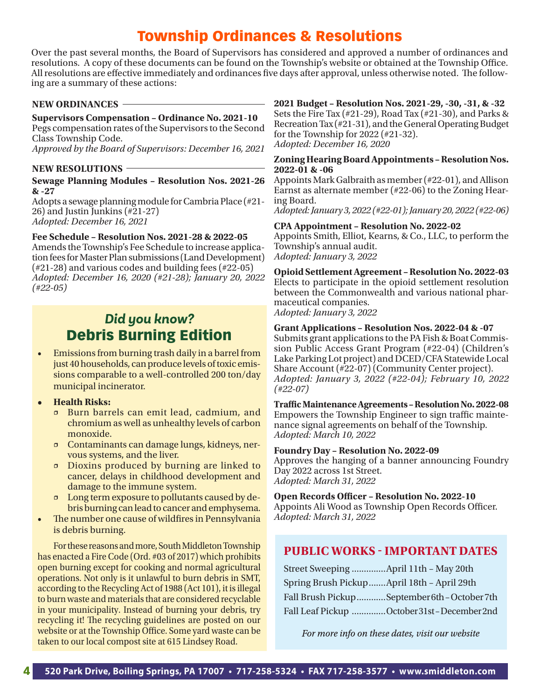### Township Ordinances & Resolutions

Over the past several months, the Board of Supervisors has considered and approved a number of ordinances and resolutions. A copy of these documents can be found on the Township's website or obtained at the Township Office. All resolutions are effective immediately and ordinances five days after approval, unless otherwise noted. The following are a summary of these actions:

### **NEW ORDINANCES**

### **Supervisors Compensation – Ordinance No. 2021-10**

Pegs compensation rates of the Supervisors to the Second Class Township Code.

*Approved by the Board of Supervisors: December 16, 2021* 

### **NEW RESOLUTIONS**

#### **Sewage Planning Modules – Resolution Nos. 2021-26 & -27**

Adopts a sewage planning module for Cambria Place (#21- 26) and Justin Junkins (#21-27) *Adopted: December 16, 2021*

### **Fee Schedule – Resolution Nos. 2021-28 & 2022-05**

Amends the Township's Fee Schedule to increase application fees for Master Plan submissions (Land Development) (#21-28) and various codes and building fees (#22-05) *Adopted: December 16, 2020 (#21-28); January 20, 2022 (#22-05)*

### *Did you know?* Debris Burning Edition

- Emissions from burning trash daily in a barrel from just 40 households, can produce levels of toxic emissions comparable to a well-controlled 200 ton/day municipal incinerator.
- **• Health Risks:**
	- Burn barrels can emit lead, cadmium, and chromium as well as unhealthy levels of carbon monoxide.
	- Contaminants can damage lungs, kidneys, nervous systems, and the liver.
	- Dioxins produced by burning are linked to cancer, delays in childhood development and damage to the immune system.
	- Long term exposure to pollutants caused by debris burning can lead to cancer and emphysema.
- The number one cause of wildfires in Pennsylvania is debris burning.

For these reasons and more, South Middleton Township has enacted a Fire Code (Ord. #03 of 2017) which prohibits open burning except for cooking and normal agricultural operations. Not only is it unlawful to burn debris in SMT, according to the Recycling Act of 1988 (Act 101), it is illegal to burn waste and materials that are considered recyclable in your municipality. Instead of burning your debris, try recycling it! The recycling guidelines are posted on our website or at the Township Office. Some yard waste can be taken to our local compost site at 615 Lindsey Road.

#### **2021 Budget – Resolution Nos. 2021-29, -30, -31, & -32** Sets the Fire Tax (#21-29), Road Tax (#21-30), and Parks & Recreation Tax (#21-31), and the General Operating Budget for the Township for 2022 (#21-32).

*Adopted: December 16, 2020*

#### **Zoning Hearing Board Appointments – Resolution Nos. 2022-01 & -06**

Appoints Mark Galbraith as member (#22-01), and Allison Earnst as alternate member (#22-06) to the Zoning Hearing Board.

*Adopted: January 3, 2022 (#22-01); January 20, 2022 (#22-06)*

### **CPA Appointment – Resolution No. 2022-02**

Appoints Smith, Elliot, Kearns, & Co., LLC, to perform the Township's annual audit. *Adopted: January 3, 2022*

**Opioid Settlement Agreement – Resolution No. 2022-03** Elects to participate in the opioid settlement resolution between the Commonwealth and various national pharmaceutical companies. *Adopted: January 3, 2022*

### **Grant Applications – Resolution Nos. 2022-04 & -07**

Submits grant applications to the PA Fish & Boat Commission Public Access Grant Program (#22-04) (Children's Lake Parking Lot project) and DCED/CFA Statewide Local Share Account (#22-07) (Community Center project). *Adopted: January 3, 2022 (#22-04); February 10, 2022 (#22-07)*

**Traffic Maintenance Agreements – Resolution No. 2022-08** Empowers the Township Engineer to sign traffic maintenance signal agreements on behalf of the Township. *Adopted: March 10, 2022*

### **Foundry Day – Resolution No. 2022-09**

Approves the hanging of a banner announcing Foundry Day 2022 across 1st Street. *Adopted: March 31, 2022*

#### **Open Records Officer – Resolution No. 2022-10**

Appoints Ali Wood as Township Open Records Officer. *Adopted: March 31, 2022*

### **PUBLIC WORKS - IMPORTANT DATES**

| Spring Brush PickupApril 18th - April 29th |                                              |
|--------------------------------------------|----------------------------------------------|
|                                            | Fall Brush PickupSeptember 6th - October 7th |
|                                            | Fall Leaf Pickup October 31st - December 2nd |

For more info on these dates, visit our website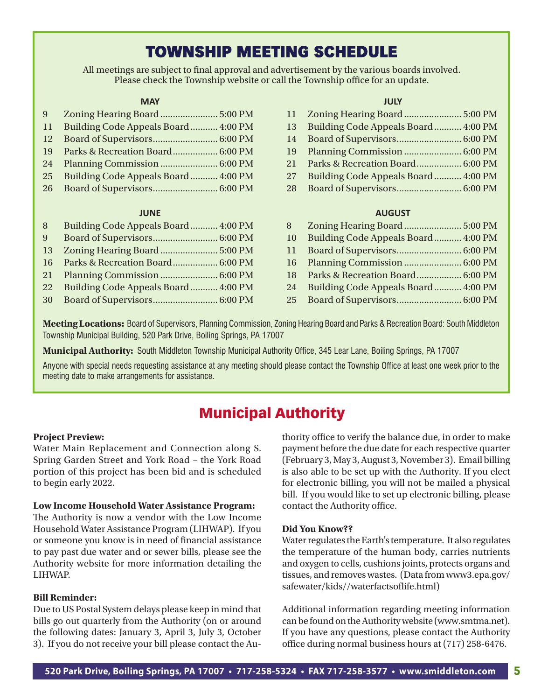### TOWNSHIP MEETING SCHEDULE

All meetings are subject to final approval and advertisement by the various boards involved. Please check the Township website or call the Township office for an update.

### **MAY**

| 9             |                                     |  |
|---------------|-------------------------------------|--|
| 11            | Building Code Appeals Board 4:00 PM |  |
| <sup>12</sup> |                                     |  |
| 19            | Parks & Recreation Board 6:00 PM    |  |
| 24            |                                     |  |
| 25            | Building Code Appeals Board 4:00 PM |  |
|               |                                     |  |

#### **JUNE**

| 8              | Building Code Appeals Board 4:00 PM |  |
|----------------|-------------------------------------|--|
| 9 <sup>°</sup> |                                     |  |
| 13             |                                     |  |
|                |                                     |  |
|                |                                     |  |
| 22             | Building Code Appeals Board 4:00 PM |  |
|                |                                     |  |

### **JULY**

|    | 13 Building Code Appeals Board  4:00 PM |  |
|----|-----------------------------------------|--|
| 14 |                                         |  |
|    |                                         |  |
|    | 21 Parks & Recreation Board 6:00 PM     |  |
| 27 | Building Code Appeals Board 4:00 PM     |  |
|    |                                         |  |

#### **AUGUST**

| 10   | Building Code Appeals Board 4:00 PM |
|------|-------------------------------------|
| 11 - |                                     |
|      | 16 Planning Commission  6:00 PM     |
|      | 18 Parks & Recreation Board 6:00 PM |
| 24   | Building Code Appeals Board 4:00 PM |
|      |                                     |

**Meeting Locations:** Board of Supervisors, Planning Commission, Zoning Hearing Board and Parks & Recreation Board: South Middleton Township Municipal Building, 520 Park Drive, Boiling Springs, PA 17007

**Municipal Authority:** South Middleton Township Municipal Authority Office, 345 Lear Lane, Boiling Springs, PA 17007

Anyone with special needs requesting assistance at any meeting should please contact the Township Office at least one week prior to the meeting date to make arrangements for assistance.

### Municipal Authority

#### **Project Preview:**

Water Main Replacement and Connection along S. Spring Garden Street and York Road – the York Road portion of this project has been bid and is scheduled to begin early 2022.

#### **Low Income Household Water Assistance Program:**

The Authority is now a vendor with the Low Income Household Water Assistance Program (LIHWAP). If you or someone you know is in need of financial assistance to pay past due water and or sewer bills, please see the Authority website for more information detailing the LIHWAP.

### **Bill Reminder:**

Due to US Postal System delays please keep in mind that bills go out quarterly from the Authority (on or around the following dates: January 3, April 3, July 3, October 3). If you do not receive your bill please contact the Authority office to verify the balance due, in order to make payment before the due date for each respective quarter (February 3, May 3, August 3, November 3). Email billing is also able to be set up with the Authority. If you elect for electronic billing, you will not be mailed a physical bill. If you would like to set up electronic billing, please contact the Authority office.

#### **Did You Know??**

Water regulates the Earth's temperature. It also regulates the temperature of the human body, carries nutrients and oxygen to cells, cushions joints, protects organs and tissues, and removes wastes. (Data from www3.epa.gov/ safewater/kids//waterfactsoflife.html)

Additional information regarding meeting information can be found on the Authority website (www.smtma.net). If you have any questions, please contact the Authority office during normal business hours at (717) 258-6476.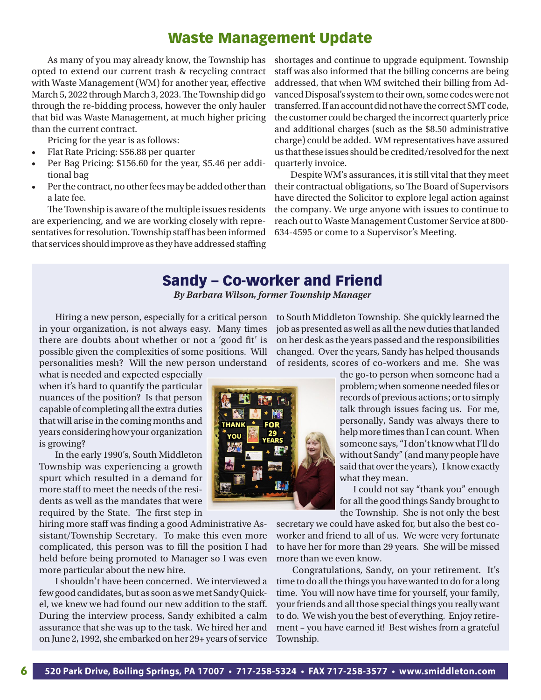### Waste Management Update

As many of you may already know, the Township has opted to extend our current trash & recycling contract with Waste Management (WM) for another year, effective March 5, 2022 through March 3, 2023. The Township did go through the re-bidding process, however the only hauler that bid was Waste Management, at much higher pricing than the current contract.

Pricing for the year is as follows:

- Flat Rate Pricing: \$56.88 per quarter
- Per Bag Pricing: \$156.60 for the year, \$5.46 per additional bag
- Per the contract, no other fees may be added other than a late fee.

The Township is aware of the multiple issues residents are experiencing, and we are working closely with representatives for resolution. Township staff has been informed that services should improve as they have addressed staffing shortages and continue to upgrade equipment. Township staff was also informed that the billing concerns are being addressed, that when WM switched their billing from Advanced Disposal's system to their own, some codes were not transferred. If an account did not have the correct SMT code, the customer could be charged the incorrect quarterly price and additional charges (such as the \$8.50 administrative charge) could be added. WM representatives have assured us that these issues should be credited/resolved for the next quarterly invoice.

Despite WM's assurances, it is still vital that they meet their contractual obligations, so The Board of Supervisors have directed the Solicitor to explore legal action against the company. We urge anyone with issues to continue to reach out to Waste Management Customer Service at 800- 634-4595 or come to a Supervisor's Meeting.

### Sandy – Co-worker and Friend

*By Barbara Wilson, former Township Manager*

Hiring a new person, especially for a critical person in your organization, is not always easy. Many times there are doubts about whether or not a 'good fit' is possible given the complexities of some positions. Will personalities mesh? Will the new person understand

what is needed and expected especially when it's hard to quantify the particular nuances of the position? Is that person capable of completing all the extra duties that will arise in the coming months and years considering how your organization is growing?

In the early 1990's, South Middleton Township was experiencing a growth spurt which resulted in a demand for more staff to meet the needs of the residents as well as the mandates that were required by the State. The first step in

hiring more staff was finding a good Administrative Assistant/Township Secretary. To make this even more complicated, this person was to fill the position I had held before being promoted to Manager so I was even more particular about the new hire.

I shouldn't have been concerned. We interviewed a few good candidates, but as soon as we met Sandy Quickel, we knew we had found our new addition to the staff. During the interview process, Sandy exhibited a calm assurance that she was up to the task. We hired her and on June 2, 1992, she embarked on her 29+ years of service to South Middleton Township. She quickly learned the job as presented as well as all the new duties that landed on her desk as the years passed and the responsibilities changed. Over the years, Sandy has helped thousands of residents, scores of co-workers and me. She was

> the go-to person when someone had a problem; when someone needed files or records of previous actions; or to simply talk through issues facing us. For me, personally, Sandy was always there to help more times than I can count. When someone says, "I don't know what I'll do without Sandy" (and many people have said that over the years), I know exactly what they mean.

> I could not say "thank you" enough for all the good things Sandy brought to the Township. She is not only the best

secretary we could have asked for, but also the best coworker and friend to all of us. We were very fortunate to have her for more than 29 years. She will be missed more than we even know.

Congratulations, Sandy, on your retirement. It's time to do all the things you have wanted to do for a long time. You will now have time for yourself, your family, your friends and all those special things you really want to do. We wish you the best of everything. Enjoy retirement – you have earned it! Best wishes from a grateful Township.

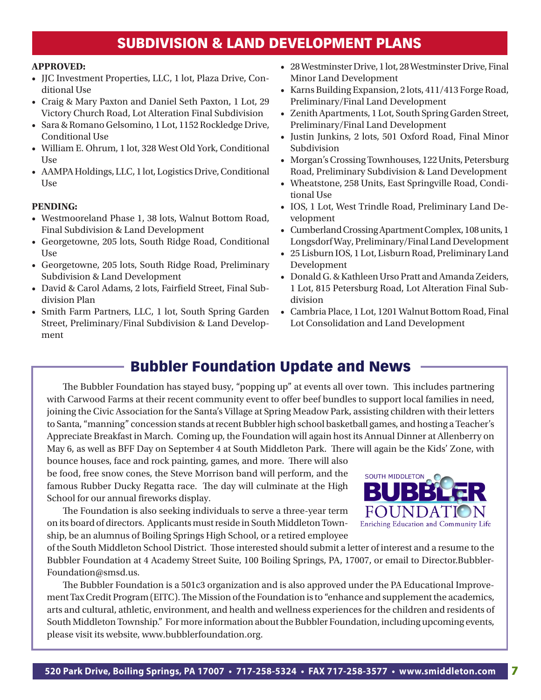### SUBDIVISION & LAND DEVELOPMENT PLANS

#### **APPROVED:**

- JJC Investment Properties, LLC, 1 lot, Plaza Drive, Conditional Use
- Craig & Mary Paxton and Daniel Seth Paxton, 1 Lot, 29 Victory Church Road, Lot Alteration Final Subdivision
- Sara & Romano Gelsomino, 1 Lot, 1152 Rockledge Drive, Conditional Use
- William E. Ohrum, 1 lot, 328 West Old York, Conditional Use
- AAMPA Holdings, LLC, 1 lot, Logistics Drive, Conditional Use

### **PENDING:**

- Westmooreland Phase 1, 38 lots, Walnut Bottom Road, Final Subdivision & Land Development
- Georgetowne, 205 lots, South Ridge Road, Conditional Use
- Georgetowne, 205 lots, South Ridge Road, Preliminary Subdivision & Land Development
- David & Carol Adams, 2 lots, Fairfield Street, Final Subdivision Plan
- Smith Farm Partners, LLC, 1 lot, South Spring Garden Street, Preliminary/Final Subdivision & Land Development
- 28 Westminster Drive, 1 lot, 28 Westminster Drive, Final Minor Land Development
- Karns Building Expansion, 2 lots, 411/413 Forge Road, Preliminary/Final Land Development
- Zenith Apartments, 1 Lot, South Spring Garden Street, Preliminary/Final Land Development
- Justin Junkins, 2 lots, 501 Oxford Road, Final Minor Subdivision
- Morgan's Crossing Townhouses, 122 Units, Petersburg Road, Preliminary Subdivision & Land Development
- Wheatstone, 258 Units, East Springville Road, Conditional Use
- IOS, 1 Lot, West Trindle Road, Preliminary Land Development
- Cumberland Crossing Apartment Complex, 108 units, 1 Longsdorf Way, Preliminary/Final Land Development
- 25 Lisburn IOS, 1 Lot, Lisburn Road, Preliminary Land Development
- Donald G. & Kathleen Urso Pratt and Amanda Zeiders, 1 Lot, 815 Petersburg Road, Lot Alteration Final Subdivision
- Cambria Place, 1 Lot, 1201 Walnut Bottom Road, Final Lot Consolidation and Land Development

### Bubbler Foundation Update and News

Appreciate Breakfast in March. Coming up, the Foundation will again host its Annual Dinner at Allenberry on The Bubbler Foundation has stayed busy, "popping up" at events all over town. This includes partnering with Carwood Farms at their recent community event to offer beef bundles to support local families in need, joining the Civic Association for the Santa's Village at Spring Meadow Park, assisting children with their letters to Santa, "manning" concession stands at recent Bubbler high school basketball games, and hosting a Teacher's May 6, as well as BFF Day on September 4 at South Middleton Park. There will again be the Kids' Zone, with

bounce houses, face and rock painting, games, and more. There will also be food, free snow cones, the Steve Morrison band will perform, and the famous Rubber Ducky Regatta race. The day will culminate at the High School for our annual fireworks display.

The Foundation is also seeking individuals to serve a three-year term on its board of directors. Applicants must reside in South Middleton Township, be an alumnus of Boiling Springs High School, or a retired employee

of the South Middleton School District. Those interested should submit a letter of interest and a resume to the at the sount music, and sensor Bistricity most interested should distinct a client of interest and a resulte to the<br>Bubbler Foundation at 4 Academy Street Suite, 100 Boiling Springs, PA, 17007, or email to Director.Bubbler  $\frac{1}{\sqrt{2}}$  or omain to *z* noticing above. Foundation@smsd.us.

show lit up the South Middleton sky that many were able to view from The Bubbler Foundation is a 501c3 organization and is also approved under the PA Educational Improvement Tax Credit Program (EITC). The Mission of the Foundation is to "enhance and supplement the academics, arts and cultural, athletic, environment, and health and wellness experiences for the children and residents of South Middleton Township." For more information about the Bubbler Foundation, including upcoming events,  $\qquad \qquad$ information, including an annual dinner and golf tournament. If you are interested in donating, visit please visit its website, www.bubblerfoundation.org.



The Bubbler Foundation didn't let a rainy start deter from a fantastic day of family fun, good music and tasty food at the annual Bubbler Foundation Festival & Fireworks on September 5, 2021. The Bubbler Foundation would like to thank all of their volunteers, donors and

sponsors for making this event

bubblerfoundation.org or scan the QR code. If you have suggestions for future events or are interested